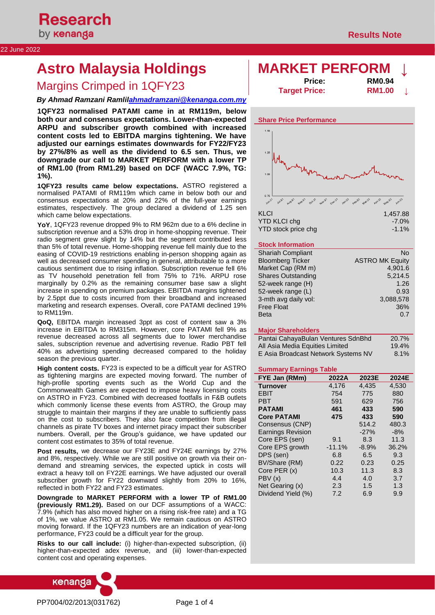### 22 June 2022

# **Astro Malaysia Holdings MARKET PERFORM ↓**

## **Margins Crimped in 1QFY23**

### *By Ahmad Ramzani Ramli[lahmadramzani@kenanga.com.my](mailto:tehky@kenanga.com.my)*

**1QFY23 normalised PATAMI came in at RM119m, below both our and consensus expectations. Lower-than-expected ARPU and subscriber growth combined with increased content costs led to EBITDA margins tightening. We have adjusted our earnings estimates downwards for FY22/FY23 by 27%/8% as well as the dividend to 6.5 sen. Thus, we downgrade our call to MARKET PERFORM with a lower TP of RM1.00 (from RM1.29) based on DCF (WACC 7.9%, TG: 1%).**

**1QFY23 results came below expectations.** ASTRO registered a normalised PATAMI of RM119m which came in below both our and consensus expectations at 20% and 22% of the full-year earnings estimates, respectively. The group declared a dividend of 1.25 sen which came below expectations.

**YoY**, 1QFY23 revenue dropped 9% to RM 962m due to a 6% decline in subscription revenue and a 53% drop in home-shopping revenue. Their radio segment grew slight by 14% but the segment contributed less than 5% of total revenue. Home-shopping revenue fell mainly due to the easing of COVID-19 restrictions enabling in-person shopping again as well as decreased consumer spending in general, attributable to a more cautious sentiment due to rising inflation. Subscription revenue fell 6% as TV household penetration fell from 75% to 71%. ARPU rose marginally by 0.2% as the remaining consumer base saw a slight increase in spending on premium packages. EBITDA margins tightened by 2.5ppt due to costs incurred from their broadband and increased marketing and research expenses. Overall, core PATAMI declined 19% to RM119m.

**QoQ,** EBITDA margin increased 3ppt as cost of content saw a 3% increase in EBITDA to RM315m. However, core PATAMI fell 9% as revenue decreased across all segments due to lower merchandise sales, subscription revenue and advertising revenue. Radio PBT fell 40% as advertising spending decreased compared to the holiday season the previous quarter.

**High content costs.** FY23 is expected to be a difficult year for ASTRO as tightening margins are expected moving forward. The number of high-profile sporting events such as the World Cup and the Commonwealth Games are expected to impose heavy licensing costs on ASTRO in FY23. Combined with decreased footfalls in F&B outlets which commonly license these events from ASTRO, the Group may struggle to maintain their margins if they are unable to sufficiently pass on the cost to subscribers. They also face competition from illegal channels as pirate TV boxes and internet piracy impact their subscriber numbers. Overall, per the Group's guidance, we have updated our content cost estimates to 35% of total revenue.

**Post results,** we decrease our FY23E and FY24E earnings by 27% and 8%, respectively. While we are still positive on growth via their ondemand and streaming services, the expected uptick in costs will extract a heavy toll on FY22E earnings. We have adjusted our overall subscriber growth for FY22 downward slightly from 20% to 16%, reflected in both FY22 and FY23 estimates.

**Downgrade to MARKET PERFORM with a lower TP of RM1.00 (previously RM1.29).** Based on our DCF assumptions of a WACC: 7.9% (which has also moved higher on a rising risk-free rate) and a TG of 1%, we value ASTRO at RM1.05. We remain cautious on ASTRO moving forward. If the 1QFY23 numbers are an indication of year-long performance, FY23 could be a difficult year for the group.

**Risks to our call include:** (i) higher-than-expected subscription, (ii) higher-than-expected adex revenue, and (iii) lower-than-expected content cost and operating expenses.



| <b>Price:</b>        | <b>RM0.94</b> |  |
|----------------------|---------------|--|
| <b>Target Price:</b> | <b>RM1.00</b> |  |



| . <del>.</del> <del>.</del> . |
|-------------------------------|
| $-7.0\%$                      |
| $-1.1\%$                      |
|                               |

### **Stock Information**

| <b>Shariah Compliant</b>  | No                     |
|---------------------------|------------------------|
| <b>Bloomberg Ticker</b>   | <b>ASTRO MK Equity</b> |
| Market Cap (RM m)         | 4.901.6                |
| <b>Shares Outstanding</b> | 5,214.5                |
| 52-week range (H)         | 1.26                   |
| 52-week range (L)         | 0.93                   |
| 3-mth avg daily vol:      | 3,088,578              |
| <b>Free Float</b>         | 36%                    |
| <b>Beta</b>               | 0.7                    |

#### **Major Shareholders**

| Pantai CahayaBulan Ventures SdnBhd  | 20.7%   |
|-------------------------------------|---------|
| All Asia Media Equities Limited     | 19.4%   |
| E Asia Broadcast Network Systems NV | $8.1\%$ |

#### **Summary Earnings Table**

| FYE Jan (RMm)            | 2022A    | 2023E   | 2024E |
|--------------------------|----------|---------|-------|
| <b>Turnover</b>          | 4.176    | 4.435   | 4,530 |
| <b>EBIT</b>              | 754      | 775     | 880   |
| <b>PBT</b>               | 591      | 629     | 756   |
| <b>PATAMI</b>            | 461      | 433     | 590   |
| <b>Core PATAMI</b>       | 475      | 433     | 590   |
| Consensus (CNP)          |          | 514.2   | 480.3 |
| <b>Earnings Revision</b> |          | $-27%$  | $-8%$ |
| Core EPS (sen)           | 9.1      | 8.3     | 11.3  |
| Core EPS growth          | $-11.1%$ | $-8.9%$ | 36.2% |
| DPS (sen)                | 6.8      | 6.5     | 9.3   |
| BV/Share (RM)            | 0.22     | 0.23    | 0.25  |
| Core PER (x)             | 10.3     | 11.3    | 8.3   |
| PBV(x)                   | 4.4      | 4.0     | 3.7   |
| Net Gearing (x)          | 2.3      | 1.5     | 1.3   |
| Dividend Yield (%)       | 7.2      | 6.9     | 9.9   |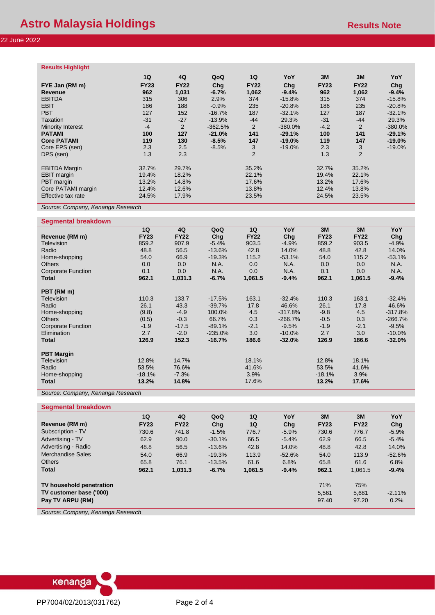| <b>Results Highlight</b> |             |             |           |                |            |             |                |           |
|--------------------------|-------------|-------------|-----------|----------------|------------|-------------|----------------|-----------|
|                          | 1Q          | 4Q          | QoQ       | 1Q             | YoY        | 3M          | 3M             | YoY       |
| FYE Jan (RM m)           | <b>FY23</b> | <b>FY22</b> | Cha       | <b>FY22</b>    | Cha        | <b>FY23</b> | <b>FY22</b>    | Chq       |
| <b>Revenue</b>           | 962         | 1,031       | $-6.7%$   | 1,062          | $-9.4%$    | 962         | 1,062          | $-9.4%$   |
| <b>EBITDA</b>            | 315         | 306         | 2.9%      | 374            | $-15.8%$   | 315         | 374            | $-15.8%$  |
| <b>EBIT</b>              | 186         | 188         | $-0.9%$   | 235            | $-20.8%$   | 186         | 235            | $-20.8%$  |
| <b>PBT</b>               | 127         | 152         | $-16.7%$  | 187            | $-32.1%$   | 127         | 187            | $-32.1%$  |
| Taxation                 | $-31$       | $-27$       | $-13.9%$  | $-44$          | 29.3%      | $-31$       | $-44$          | 29.3%     |
| <b>Minority Interest</b> | $-4$        | 2           | $-362.5%$ | 2              | $-380.0\%$ | $-4.2$      | 2              | $-380.0%$ |
| <b>PATAMI</b>            | 100         | 127         | $-21.0%$  | 141            | $-29.1%$   | 100         | 141            | $-29.1%$  |
| <b>Core PATAMI</b>       | 119         | 130         | $-8.5%$   | 147            | $-19.0%$   | 119         | 147            | $-19.0%$  |
| Core EPS (sen)           | 2.3         | 2.5         | $-8.5%$   | 3              | $-19.0\%$  | 2.3         | 3              | $-19.0\%$ |
| DPS (sen)                | 1.3         | 2.3         |           | $\overline{2}$ |            | 1.3         | $\overline{2}$ |           |
| <b>EBITDA Margin</b>     | 32.7%       | 29.7%       |           | 35.2%          |            | 32.7%       | 35.2%          |           |
| <b>EBIT</b> margin       | 19.4%       | 18.2%       |           | 22.1%          |            | 19.4%       | 22.1%          |           |
| PBT margin               | 13.2%       | 14.8%       |           | 17.6%          |            | 13.2%       | 17.6%          |           |
| Core PATAMI margin       | 12.4%       | 12.6%       |           | 13.8%          |            | 12.4%       | 13.8%          |           |
| Effective tax rate       | 24.5%       | 17.9%       |           | 23.5%          |            | 24.5%       | 23.5%          |           |

*Source: Company, Kenanga Research*

#### **Segmental breakdown**

|                           | 1Q          | 4Q          | QoQ       | 1Q          | YoY       | 3M          | 3M          | YoY       |
|---------------------------|-------------|-------------|-----------|-------------|-----------|-------------|-------------|-----------|
| Revenue (RM m)            | <b>FY23</b> | <b>FY22</b> | Chg       | <b>FY22</b> | Chq       | <b>FY23</b> | <b>FY22</b> | Chg       |
| <b>Television</b>         | 859.2       | 907.9       | $-5.4%$   | 903.5       | $-4.9%$   | 859.2       | 903.5       | $-4.9%$   |
| Radio                     | 48.8        | 56.5        | $-13.6%$  | 42.8        | 14.0%     | 48.8        | 42.8        | 14.0%     |
| Home-shopping             | 54.0        | 66.9        | $-19.3%$  | 115.2       | $-53.1%$  | 54.0        | 115.2       | $-53.1%$  |
| <b>Others</b>             | 0.0         | 0.0         | N.A.      | 0.0         | N.A.      | 0.0         | 0.0         | N.A.      |
| <b>Corporate Function</b> | 0.1         | 0.0         | N.A.      | 0.0         | N.A.      | 0.1         | 0.0         | N.A.      |
| Total                     | 962.1       | 1,031.3     | $-6.7%$   | 1,061.5     | $-9.4%$   | 962.1       | 1,061.5     | $-9.4%$   |
| PBT (RM m)                |             |             |           |             |           |             |             |           |
| Television                | 110.3       | 133.7       | $-17.5%$  | 163.1       | $-32.4%$  | 110.3       | 163.1       | $-32.4%$  |
| Radio                     | 26.1        | 43.3        | $-39.7%$  | 17.8        | 46.6%     | 26.1        | 17.8        | 46.6%     |
| Home-shopping             | (9.8)       | $-4.9$      | 100.0%    | 4.5         | $-317.8%$ | $-9.8$      | 4.5         | $-317.8%$ |
| <b>Others</b>             | (0.5)       | $-0.3$      | 66.7%     | 0.3         | $-266.7%$ | $-0.5$      | 0.3         | $-266.7%$ |
| <b>Corporate Function</b> | $-1.9$      | $-17.5$     | $-89.1%$  | $-2.1$      | $-9.5%$   | $-1.9$      | $-2.1$      | $-9.5%$   |
| Elimination               | 2.7         | $-2.0$      | $-235.0%$ | 3.0         | $-10.0\%$ | 2.7         | 3.0         | $-10.0\%$ |
| Total                     | 126.9       | 152.3       | $-16.7%$  | 186.6       | $-32.0%$  | 126.9       | 186.6       | $-32.0%$  |
| <b>PBT Margin</b>         |             |             |           |             |           |             |             |           |
| Television                | 12.8%       | 14.7%       |           | 18.1%       |           | 12.8%       | 18.1%       |           |
| Radio                     | 53.5%       | 76.6%       |           | 41.6%       |           | 53.5%       | 41.6%       |           |
| Home-shopping             | $-18.1%$    | $-7.3%$     |           | 3.9%        |           | $-18.1%$    | 3.9%        |           |
| <b>Total</b>              | 13.2%       | 14.8%       |           | 17.6%       |           | 13.2%       | 17.6%       |           |
| $\sim$<br>$\sim$          | $\sim$      |             |           |             |           |             |             |           |

*Source: Company, Kenanga Research*

#### **Segmental breakdown**

|                          | 1Q          | 4Q          | QoQ       | 1Q      | YoY      | 3M          | 3M          | YoY      |
|--------------------------|-------------|-------------|-----------|---------|----------|-------------|-------------|----------|
| Revenue (RM m)           | <b>FY23</b> | <b>FY22</b> | Cha       | 1Q      | Cha      | <b>FY23</b> | <b>FY22</b> | Chg      |
| Subscription - TV        | 730.6       | 741.8       | $-1.5%$   | 776.7   | $-5.9%$  | 730.6       | 776.7       | $-5.9%$  |
| Advertising - TV         | 62.9        | 90.0        | $-30.1%$  | 66.5    | $-5.4%$  | 62.9        | 66.5        | $-5.4%$  |
| Advertising - Radio      | 48.8        | 56.5        | $-13.6\%$ | 42.8    | 14.0%    | 48.8        | 42.8        | 14.0%    |
| Merchandise Sales        | 54.0        | 66.9        | $-19.3%$  | 113.9   | $-52.6%$ | 54.0        | 113.9       | $-52.6%$ |
| <b>Others</b>            | 65.8        | 76.1        | $-13.5%$  | 61.6    | 6.8%     | 65.8        | 61.6        | 6.8%     |
| <b>Total</b>             | 962.1       | 1,031.3     | $-6.7%$   | 1,061.5 | $-9.4%$  | 962.1       | 1,061.5     | $-9.4%$  |
| TV household penetration |             |             |           |         |          | 71%         | 75%         |          |
| TV customer base ('000)  |             |             |           |         |          | 5.561       | 5.681       | $-2.11%$ |
| Pay TV ARPU (RM)         |             |             |           |         |          | 97.40       | 97.20       | 0.2%     |

*Source: Company, Kenanga Research*

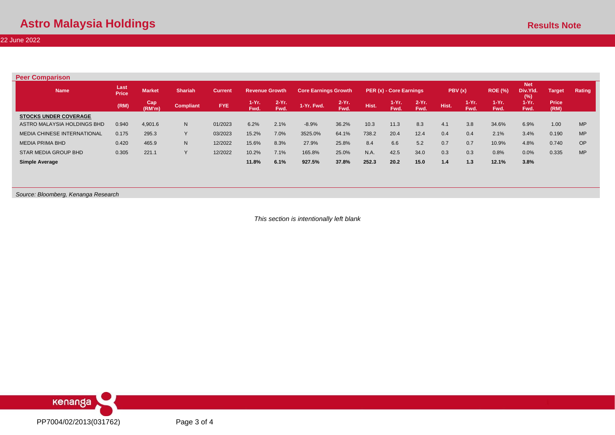22 June 2022

| <b>Peer Comparison</b>             |                      |               |                  |                |                       |                 |                             |                  |       |                         |                  |             |                 |                  |                               |                      |           |
|------------------------------------|----------------------|---------------|------------------|----------------|-----------------------|-----------------|-----------------------------|------------------|-------|-------------------------|------------------|-------------|-----------------|------------------|-------------------------------|----------------------|-----------|
| <b>Name</b>                        | Last<br><b>Price</b> | <b>Market</b> | <b>Shariah</b>   | <b>Current</b> | <b>Revenue Growth</b> |                 | <b>Core Earnings Growth</b> |                  |       | PER (x) - Core Earnings |                  | PBV (x)     |                 | <b>ROE (%)</b>   | <b>Net</b><br>Div.Yld.<br>(%) | Target               | Rating    |
|                                    | (RM)                 | Cap<br>(RM'm) | <b>Compliant</b> | <b>FYE</b>     | $1-Yr$<br>Fwd.        | $2-Yr.$<br>Fwd. | 1-Yr. Fwd.                  | $2-Yr$ .<br>Fwd. | Hist. | $1-Yr.$<br>Fwd.         | $2-Yr$ .<br>Fwd. | <b>Hist</b> | $1-Yr.$<br>Fwd. | $1-Yr$ .<br>Fwd. | .1-Yr.<br>Fwd.                | <b>Price</b><br>(RM) |           |
| <b>STOCKS UNDER COVERAGE</b>       |                      |               |                  |                |                       |                 |                             |                  |       |                         |                  |             |                 |                  |                               |                      |           |
| ASTRO MALAYSIA HOLDINGS BHD        | 0.940                | 4,901.6       | N                | 01/2023        | 6.2%                  | 2.1%            | $-8.9%$                     | 36.2%            | 10.3  | 11.3                    | 8.3              | 4.1         | 3.8             | 34.6%            | 6.9%                          | 1.00                 | <b>MP</b> |
| <b>MEDIA CHINESE INTERNATIONAL</b> | 0.175                | 295.3         | $\vee$           | 03/2023        | 15.2%                 | 7.0%            | 3525.0%                     | 64.1%            | 738.2 | 20.4                    | 12.4             | 0.4         | 0.4             | 2.1%             | 3.4%                          | 0.190                | <b>MP</b> |
| <b>MEDIA PRIMA BHD</b>             | 0.420                | 465.9         | N                | 12/2022        | 15.6%                 | 8.3%            | 27.9%                       | 25.8%            | 8.4   | 6.6                     | 5.2              | 0.7         | 0.7             | 10.9%            | 4.8%                          | 0.740                | <b>OP</b> |
| <b>STAR MEDIA GROUP BHD</b>        | 0.305                | 221.1         | $\sqrt{}$        | 12/2022        | 10.2%                 | 7.1%            | 165.8%                      | 25.0%            | N.A.  | 42.5                    | 34.0             | 0.3         | 0.3             | 0.8%             | 0.0%                          | 0.335                | <b>MP</b> |
| Simple Average                     |                      |               |                  |                | 11.8%                 | 6.1%            | 927.5%                      | 37.8%            | 252.3 | 20.2                    | 15.0             | 1.4         | 1.3             | 12.1%            | 3.8%                          |                      |           |

*Source: Bloomberg, Kenanga Research*

*This section is intentionally left blank*